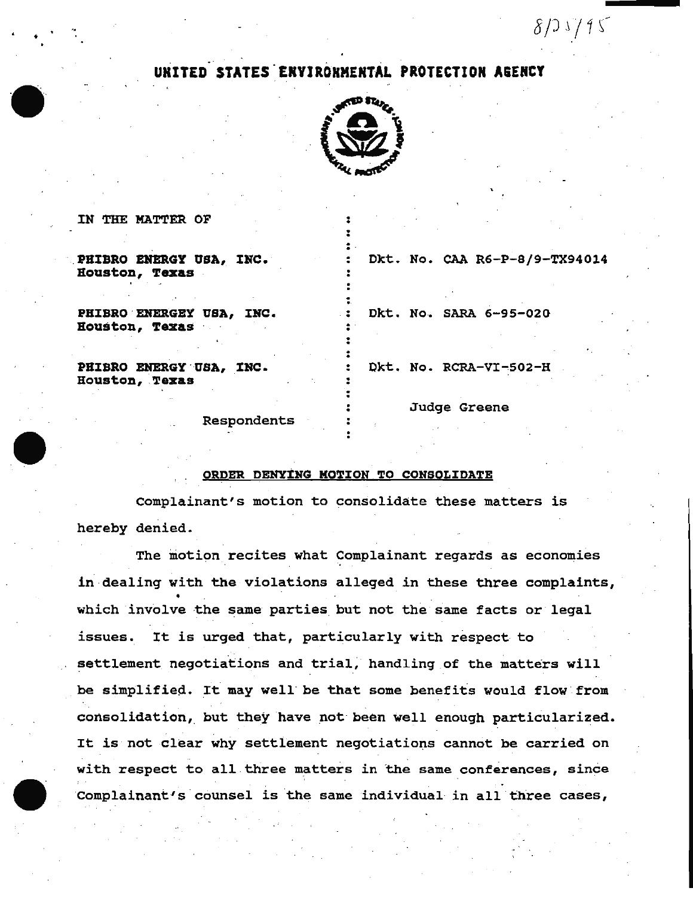## UNITED STATES ENVIROHMENTAL PROTECTION AGENCY



. • . .

 $\ddot{\ddot{\cdot}}$  . . . . . . ..

 $\ddot{\ddot{\cdot}}$  . . .

. . . . . .

IN THE MATTER OF

PHIBRO ENERGY USA, INC. Houston, Texas

PHIBRO ENERGEY USA, INC. Houston, Texas

PHIBRO ENERGY USA, INC. Houston, **Texas** 

 $\frac{1}{2}$ . Okt. No. CAA R6-P-8/9-TX940l4

*8j) .\j1(* 

Dkt. No. SARA 6-95-020

Dkt. No. RCRA-VI-502-H

Respondents

Judge Greene

## ORDER DENYING MOTION TO CONSOLIDATE

complainant's motion to consolidate these matters is hereby denied.

The motion recites what Complainant regards as economies in dealing with the violations alleged in these three complaints, which involve the same parties but not the same facts or legal issues. It is urged that, particularly with respect- to settlement negotiations and trial, handling of the matters will be simplified. It may well be that some benefits would flow from consolidation,\_ but they have not been well enough particularized. It is not clear why settlement negotiations cannot be carried on with respect to all three matters in the same conferences, since Complainant's counsel is the same individual in all three cases,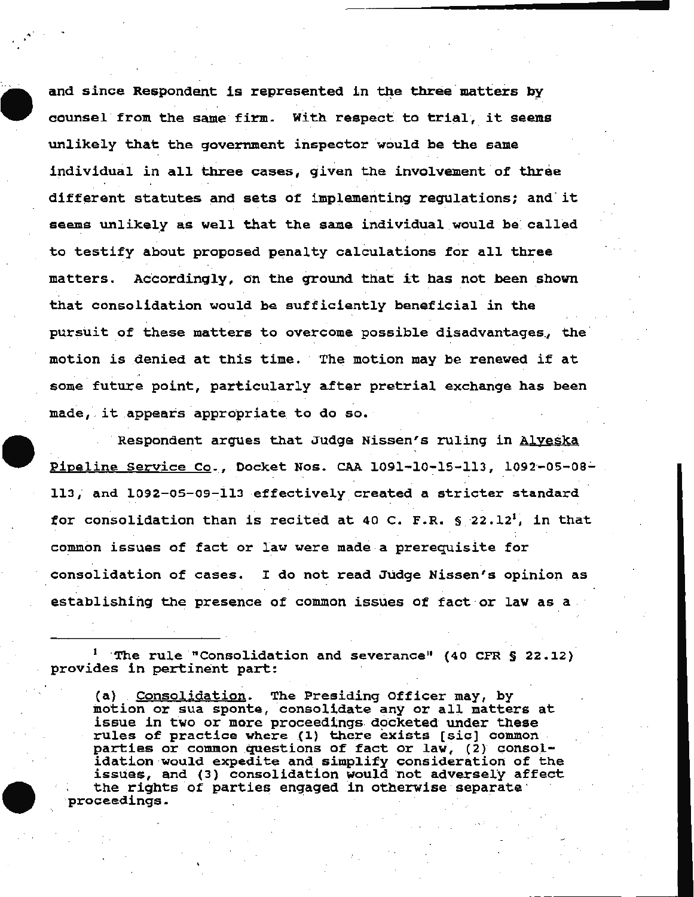and since Respondent is represented in the three matters by . . counsel from the same firm. With respect to trial, it seems unlikely that the government inspector would be the same individual in all three cases, given the involvement of three different statutes and sets of implementing regulations; and it seems unlikely as well that the same individual would be called to testify about proposed penalty calculations for all three matters. Accordingly, on the ground that it has not been shown that consolidation would be sufficiently beneficial in the pursuit of these matters to overcome possible disadvantages, the motion is denied at this time. The motion may be renewed if at some future point, particularly after pretrial exchange has been made, it appears appropriate to do so.

... .

Respondent argues that Judge Nissen's ruling in Alyeska Pipeline Service Co., Docket Nos. CAA 1091-10-15-113, 1092-05-08-113, and 1092-05-09-113 effectively created a stricter standard . . for consolidation than is recited at 40 C. F.R. § 22.12<sup>1</sup>, in that common issues of fact or law were made a prerequisite for consolidation of cases. I do not read Judge Nissen's opinion as establishing the presence of common issues of fact or law as a

 $1$  . The rule "Consolidation and severance" (40 CFR § 22.12). provides in pertinent part:

(a) Consolidation. The Presiding Officer may, by motion or sua sponte, consolidate any or all matters at issue in two or more proceedings. docketed under these rules of practice where (1) there exists [sic] common parties or common questions of fact or law, (2) consolidation would expedite and simplify consideration of the issues, and (3) consolidation would not adversely affect the rights of parties engaged in otherwise separate ·<br>proceedings.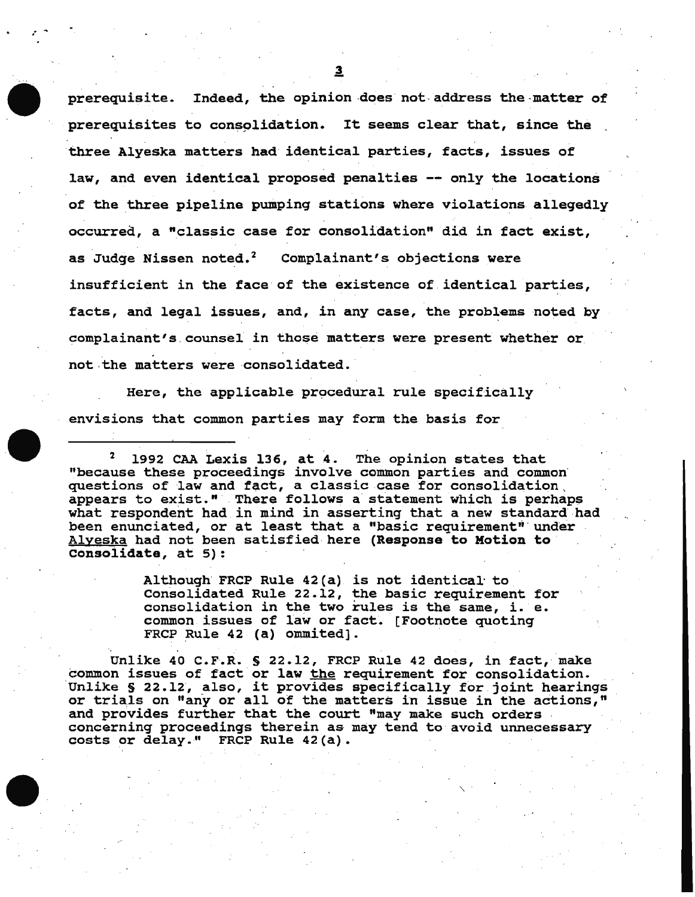prerequisite. Indeed, the opinion does not address the matter of prerequisites to consolidation. It seems clear that, since the three Alyeska matters had identical parties, facts, issues of law, and even identical proposed penalties -- only the locations of the three pipeline pumping stations where violations allegedly occurred., a "classic case for consolidation" did in fact exist, as Judge Nissen noted.<sup>2</sup> Complainant's objections were insufficient in the face of the existence of identical parties, facts, and legal issues, and, in any case, the problems noted by complainant's. counsel in those matters were present whether or not the matters were consolidated.

Here, the applicable procedural rule specifically envisions that common parties may form the basis for

1992 CAA Lexis 136, at 4. The opinion states that "because these proceedings involve common parties and common questions of law and fact, a classic case for consolidation . appears to exist." There follows a statement which is perhaps what respondent had in mind in asserting that a new standard had been enunciated, or at least that a "basic requirement" under Alyeska had not been satisfied here (Response to Motion to consolidate, at 5):

> Although FRCP Rule 42(a) is not identical· to Consolidated Rule 22.12, the basic requirement for consolidation in the two rules is the same, i. e. common issues of law or fact. [Footnote quoting FRCP Rule 42 (a) ommited].

Unlike 40 C.F.R. § 22.12, FRCP Rule 42 does, in fact, make common issues of fact or law the requirement for consolidation. Unlike § 22.12, also, it provides specifically for joint hearings or trials on "any or all of the matters in issue in the actions," and provides further that the court "may make such orders .<br>concerning proceedings therein as may tend to avoid unnecessary costs or delay." FRCP Rule 42 (a).

 $\mathcal{L}^{(1)}$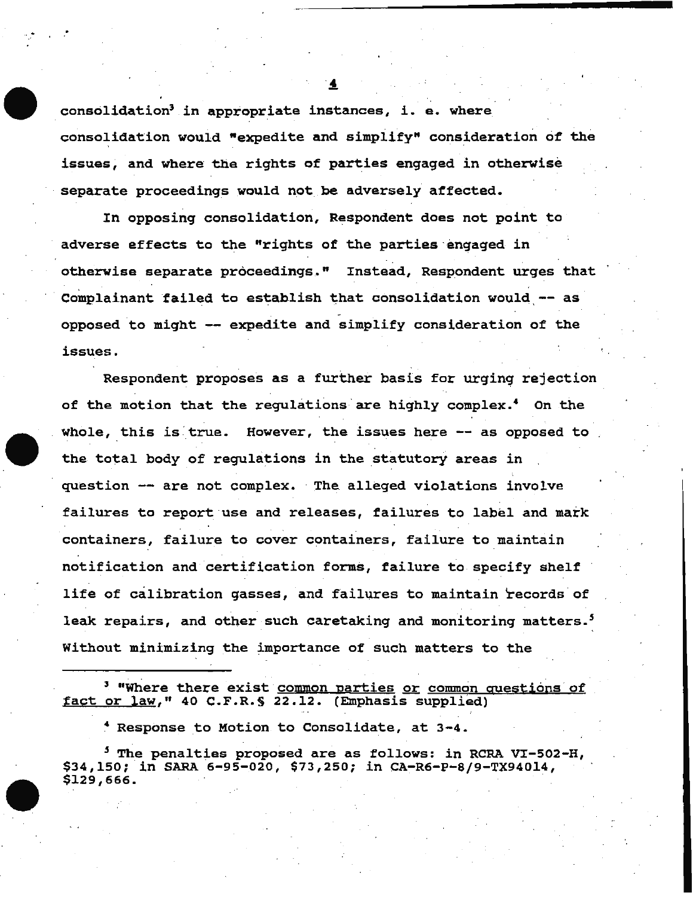consolidation' in approprlate instances, i. e. where consolidation would "expedite and simplify" consideration of the issues, and where the rights of parties engaged in otherwise separate proceedings would not be adversely affected.

In opposing consolidation, Respondent does not point to adverse effects to the "rights of the parties ·engaged in otherwise separate proceedings." Instead, Respondent urges that Complainant failed to establish that consolidation would -- as opposed to might -- expedite and simplify consideration of the issues.

Respondent proposes as a further basis for urging rejection of the motion that the regulations are highly complex.<sup>4</sup> On the whole, this is true. However, the issues here -- as opposed to the total body of regulations in the statutory areas in question -- are not complex. The alleged violations involve failures to report use and releases, failures to label and mark containers, failure to cover containers, failure to maintain notification and certification forms, failure to specify shelf life of calibration gasses, and failures to maintain records of leak repairs, and other such caretaking and monitoring matters.<sup>5</sup> Without minimizing the importance of such matters to the

<sup>3</sup> "Where there exist <u>common parties or common questions of</u> fact or law," 40 C.F.R. § 22.12. (Emphasis supplied)

• Response to Motion to Consolidate, at 3-4.

<sup>5</sup> The penalties proposed are as follows: in RCRA VI-502-H, \$34,150; in SARA 6-95-020, \$73,250; in CA-R6-P-8/9-TX94014, \$129,666.



.. .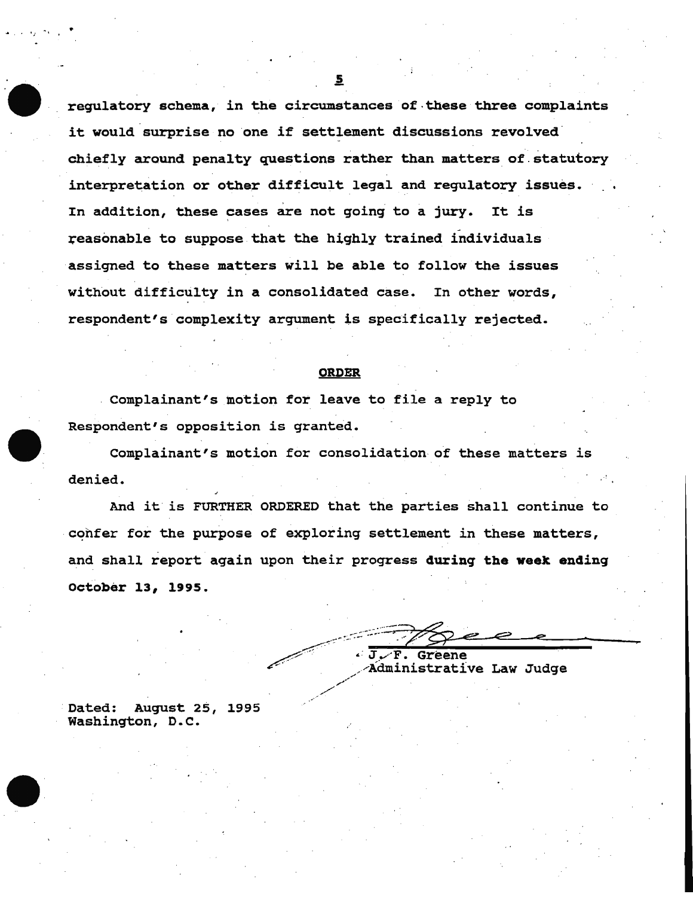regulatory schema, in the circumstances of these three complaints it would surprise no one if settlement discussions revolved chiefly around penalty questions rather than matters of statutory interpretation or other difficult legal and regulatory issues. In addition, these cases are not going to a jury. It is reasonable to suppose that the highly trained individuals assigned to these matters will be able to follow the issues without difficulty in a consolidated case. In other words, respondent's complexity argument is specifically rejected.

## **ORDER**

Complainant's motion for leave to file a reply to Respondent's opposition is granted.

Complainant's motion for consolidation of these matters is denied.

And it is FURTHER ORDERED that the parties shall continue to confer for the purpose of exploring settlement in these matters, and shall report again upon their progress during the week ending October 13, 1995.

 $\epsilon$  .  $\mathbf T$  . F. Greene Administrative Law Judge

August 25, 1995 Dated: Washington, D.C.

 $\overline{\mathbf{5}}$